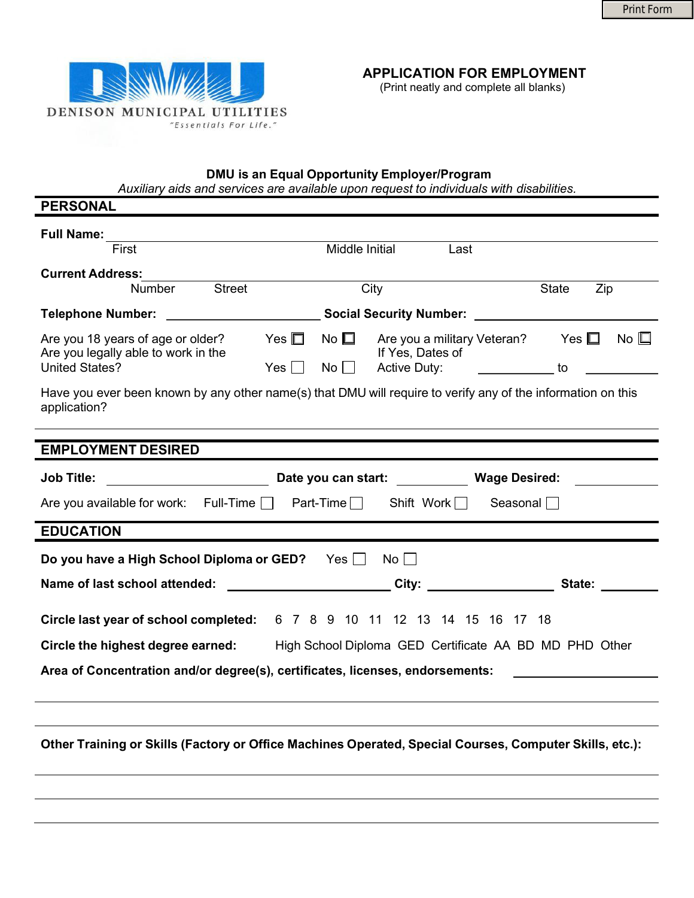

(Print neatly and complete all blanks)

## DMU is an Equal Opportunity Employer/Program

Auxiliary aids and services are available upon request to individuals with disabilities.

| <b>PERSONAL</b>                                                                                                                                                                                                                                                     |
|---------------------------------------------------------------------------------------------------------------------------------------------------------------------------------------------------------------------------------------------------------------------|
| <b>Full Name:</b><br><u> 1989 - Andrea Andrew Maria (h. 1989).</u><br>Middle Initial<br>First<br>Last                                                                                                                                                               |
| <b>Current Address:</b><br><u> 1980 - Johann Barn, amerikansk politiker (d. 1980)</u><br><b>Street</b><br>City<br><b>State</b><br>Zip<br><b>Number</b>                                                                                                              |
| Telephone Number: <u>__________________________</u> Social Security Number: _____________________________                                                                                                                                                           |
| Are you a military Veteran? Yes □ No □<br>Are you 18 years of age or older?<br>Yes $\Box$<br>No $\square$<br>Are you legally able to work in the<br>If Yes, Dates of<br>Active Duty: _______________ to ______________<br><b>United States?</b><br>Yes $\Box$<br>No |
| Have you ever been known by any other name(s) that DMU will require to verify any of the information on this<br>application?<br>,我们也不会有什么。""我们的人,我们也不会有什么?""我们的人,我们也不会有什么?""我们的人,我们也不会有什么?""我们的人,我们也不会有什么?""我们的人                                                    |
| <b>EMPLOYMENT DESIRED</b>                                                                                                                                                                                                                                           |
| Job Title: ______________________________Date you can start: _____________Wage Desired: ____________                                                                                                                                                                |
| Are you available for work: Full-Time $\Box$ Part-Time $\Box$ Shift Work $\Box$<br>Seasonal $\Box$                                                                                                                                                                  |
| <b>EDUCATION</b>                                                                                                                                                                                                                                                    |
| Do you have a High School Diploma or GED? Yes<br>$No \Box$                                                                                                                                                                                                          |
| Name of last school attended: City: City: City: State:                                                                                                                                                                                                              |
| Circle last year of school completed: 6 7 8 9 10 11 12 13 14 15 16 17 18                                                                                                                                                                                            |
| Circle the highest degree earned: High School Diploma GED Certificate AA BD MD PHD Other                                                                                                                                                                            |
| Area of Concentration and/or degree(s), certificates, licenses, endorsements:                                                                                                                                                                                       |
|                                                                                                                                                                                                                                                                     |
|                                                                                                                                                                                                                                                                     |
| Other Training or Skills (Factory or Office Machines Operated, Special Courses, Computer Skills, etc.):                                                                                                                                                             |